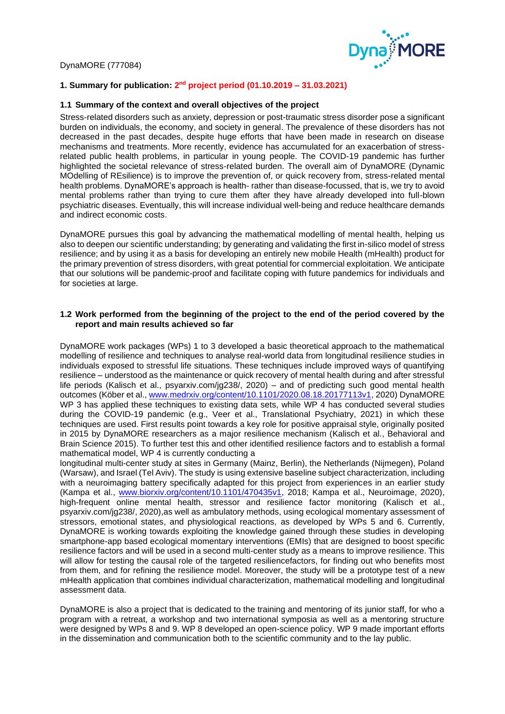

# **1. Summary for publication: 2 nd project period (01.10.2019 – 31.03.2021)**

### **1.1 Summary of the context and overall objectives of the project**

Stress-related disorders such as anxiety, depression or post-traumatic stress disorder pose a significant burden on individuals, the economy, and society in general. The prevalence of these disorders has not decreased in the past decades, despite huge efforts that have been made in research on disease mechanisms and treatments. More recently, evidence has accumulated for an exacerbation of stressrelated public health problems, in particular in young people. The COVID-19 pandemic has further highlighted the societal relevance of stress-related burden. The overall aim of DynaMORE (Dynamic MOdelling of REsilience) is to improve the prevention of, or quick recovery from, stress-related mental health problems. DynaMORE's approach is health- rather than disease-focussed, that is, we try to avoid mental problems rather than trying to cure them after they have already developed into full-blown psychiatric diseases. Eventually, this will increase individual well-being and reduce healthcare demands and indirect economic costs.

DynaMORE pursues this goal by advancing the mathematical modelling of mental health, helping us also to deepen our scientific understanding; by generating and validating the first in-silico model of stress resilience; and by using it as a basis for developing an entirely new mobile Health (mHealth) product for the primary prevention of stress disorders, with great potential for commercial exploitation. We anticipate that our solutions will be pandemic-proof and facilitate coping with future pandemics for individuals and for societies at large.

### **1.2 Work performed from the beginning of the project to the end of the period covered by the report and main results achieved so far**

DynaMORE work packages (WPs) 1 to 3 developed a basic theoretical approach to the mathematical modelling of resilience and techniques to analyse real-world data from longitudinal resilience studies in individuals exposed to stressful life situations. These techniques include improved ways of quantifying resilience – understood as the maintenance or quick recovery of mental health during and after stressful life periods (Kalisch et al., psyarxiv.com/jg238/, 2020) – and of predicting such good mental health outcomes (Köber et al., [www.medrxiv.org/content/10.1101/2020.08.18.20177113v1,](http://www.medrxiv.org/content/10.1101/2020.08.18.20177113v1) 2020) DynaMORE WP 3 has applied these techniques to existing data sets, while WP 4 has conducted several studies during the COVID-19 pandemic (e.g., Veer et al., Translational Psychiatry, 2021) in which these techniques are used. First results point towards a key role for positive appraisal style, originally posited in 2015 by DynaMORE researchers as a major resilience mechanism (Kalisch et al., Behavioral and Brain Science 2015). To further test this and other identified resilience factors and to establish a formal mathematical model, WP 4 is currently conducting a

longitudinal multi-center study at sites in Germany (Mainz, Berlin), the Netherlands (Nijmegen), Poland (Warsaw), and Israel (Tel Aviv). The study is using extensive baseline subject characterization, including with a neuroimaging battery specifically adapted for this project from experiences in an earlier study (Kampa et al., [www.biorxiv.org/content/10.1101/470435v1,](http://www.biorxiv.org/content/10.1101/470435v1) 2018; Kampa et al., Neuroimage, 2020), high-frequent online mental health, stressor and resilience factor monitoring (Kalisch et al., psyarxiv.com/jg238/, 2020),as well as ambulatory methods, using ecological momentary assessment of stressors, emotional states, and physiological reactions, as developed by WPs 5 and 6. Currently, DynaMORE is working towards exploiting the knowledge gained through these studies in developing smartphone-app based ecological momentary interventions (EMIs) that are designed to boost specific resilience factors and will be used in a second multi-center study as a means to improve resilience. This will allow for testing the causal role of the targeted resiliencefactors, for finding out who benefits most from them, and for refining the resilience model. Moreover, the study will be a prototype test of a new mHealth application that combines individual characterization, mathematical modelling and longitudinal assessment data.

DynaMORE is also a project that is dedicated to the training and mentoring of its junior staff, for who a program with a retreat, a workshop and two international symposia as well as a mentoring structure were designed by WPs 8 and 9. WP 8 developed an open-science policy. WP 9 made important efforts in the dissemination and communication both to the scientific community and to the lay public.